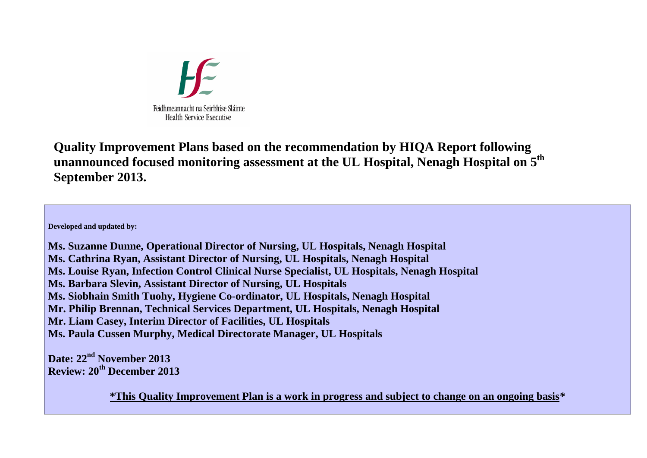

**Quality Improvement Plans based on the recommendation by HIQA Report following unannounced focused monitoring assessment at the UL Hospital, Nenagh Hospital on 5th September 2013.** 

**Developed and updated by:** 

**Ms. Suzanne Dunne, Operational Director of Nursing, UL Hospitals, Nenagh Hospital Ms. Cathrina Ryan, Assistant Director of Nursing, UL Hospitals, Nenagh Hospital Ms. Louise Ryan, Infection Control Clinical Nurse Specialist, UL Hospitals, Nenagh Hospital Ms. Barbara Slevin, Assistant Director of Nursing, UL Hospitals Ms. Siobhain Smith Tuohy, Hygiene Co-ordinator, UL Hospitals, Nenagh Hospital Mr. Philip Brennan, Technical Services Department, UL Hospitals, Nenagh Hospital Mr. Liam Casey, Interim Director of Facilities, UL Hospitals Ms. Paula Cussen Murphy, Medical Directorate Manager, UL Hospitals** 

**Date: 22nd November 2013 Review: 20th December 2013** 

**\*This Quality Improvement Plan is a work in progress and subject to change on an ongoing basis***\**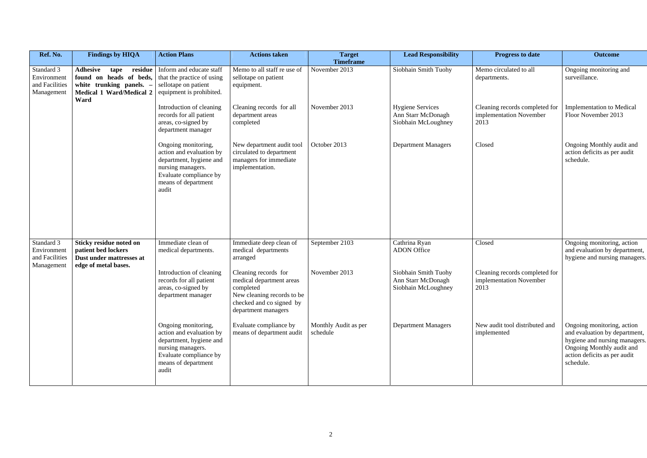| Ref. No.                                                  | <b>Findings by HIQA</b>                                                                                               | <b>Action Plans</b>                                                                                                                                       | <b>Actions taken</b>                                                                                                                           | <b>Target</b>                     | <b>Lead Responsibility</b>                                           | <b>Progress to date</b>                                           | <b>Outcome</b>                                                                                                                                                         |
|-----------------------------------------------------------|-----------------------------------------------------------------------------------------------------------------------|-----------------------------------------------------------------------------------------------------------------------------------------------------------|------------------------------------------------------------------------------------------------------------------------------------------------|-----------------------------------|----------------------------------------------------------------------|-------------------------------------------------------------------|------------------------------------------------------------------------------------------------------------------------------------------------------------------------|
| Standard 3<br>Environment<br>and Facilities<br>Management | Adhesive<br>residue<br>tape<br>found on heads of beds,<br>white trunking panels. -<br><b>Medical 1 Ward/Medical 2</b> | Inform and educate staff<br>that the practice of using<br>sellotape on patient<br>equipment is prohibited.                                                | Memo to all staff re use of<br>sellotape on patient<br>equipment.                                                                              | <b>Timeframe</b><br>November 2013 | Siobhain Smith Tuohy                                                 | Memo circulated to all<br>departments.                            | Ongoing monitoring and<br>surveillance.                                                                                                                                |
|                                                           | Ward                                                                                                                  | Introduction of cleaning<br>records for all patient<br>areas, co-signed by<br>department manager                                                          | Cleaning records for all<br>department areas<br>completed                                                                                      | November 2013                     | <b>Hygiene Services</b><br>Ann Starr McDonagh<br>Siobhain McLoughney | Cleaning records completed for<br>implementation November<br>2013 | <b>Implementation to Medical</b><br>Floor November 2013                                                                                                                |
|                                                           |                                                                                                                       | Ongoing monitoring,<br>action and evaluation by<br>department, hygiene and<br>nursing managers.<br>Evaluate compliance by<br>means of department<br>audit | New department audit tool<br>circulated to department<br>managers for immediate<br>implementation.                                             | October 2013                      | <b>Department Managers</b>                                           | Closed                                                            | Ongoing Monthly audit and<br>action deficits as per audit<br>schedule.                                                                                                 |
| Standard 3<br>Environment<br>and Facilities               | <b>Sticky residue noted on</b><br>patient bed lockers<br>Dust under mattresses at                                     | Immediate clean of<br>medical departments.                                                                                                                | Immediate deep clean of<br>medical departments<br>arranged                                                                                     | September 2103                    | Cathrina Ryan<br><b>ADON</b> Office                                  | Closed                                                            | Ongoing monitoring, action<br>and evaluation by department,<br>hygiene and nursing managers.                                                                           |
| Management                                                | edge of metal bases.                                                                                                  | Introduction of cleaning<br>records for all patient<br>areas, co-signed by<br>department manager                                                          | Cleaning records for<br>medical department areas<br>completed<br>New cleaning records to be<br>checked and co signed by<br>department managers | November 2013                     | Siobhain Smith Tuohy<br>Ann Starr McDonagh<br>Siobhain McLoughney    | Cleaning records completed for<br>implementation November<br>2013 |                                                                                                                                                                        |
|                                                           |                                                                                                                       | Ongoing monitoring,<br>action and evaluation by<br>department, hygiene and<br>nursing managers.<br>Evaluate compliance by<br>means of department<br>audit | Evaluate compliance by<br>means of department audit                                                                                            | Monthly Audit as per<br>schedule  | <b>Department Managers</b>                                           | New audit tool distributed and<br>implemented                     | Ongoing monitoring, action<br>and evaluation by department,<br>hygiene and nursing managers.<br>Ongoing Monthly audit and<br>action deficits as per audit<br>schedule. |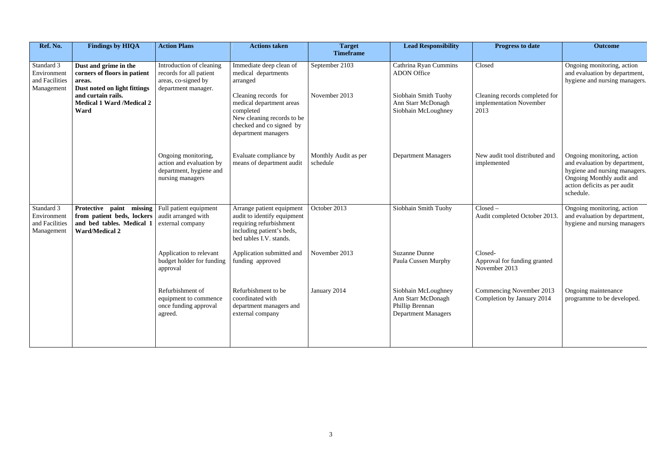| Ref. No.                                                  | <b>Findings by HIQA</b>                                                                                                                                           | <b>Action Plans</b>                                                                               | <b>Actions taken</b>                                                                                                                           | <b>Target</b><br><b>Timeframe</b> | <b>Lead Responsibility</b>                                                                 | <b>Progress to date</b>                                           | <b>Outcome</b>                                                                                                                                                         |
|-----------------------------------------------------------|-------------------------------------------------------------------------------------------------------------------------------------------------------------------|---------------------------------------------------------------------------------------------------|------------------------------------------------------------------------------------------------------------------------------------------------|-----------------------------------|--------------------------------------------------------------------------------------------|-------------------------------------------------------------------|------------------------------------------------------------------------------------------------------------------------------------------------------------------------|
| Standard 3<br>Environment<br>and Facilities<br>Management | Dust and grime in the<br>corners of floors in patient<br>areas.<br>Dust noted on light fittings<br>and curtain rails.<br><b>Medical 1 Ward /Medical 2</b><br>Ward | Introduction of cleaning<br>records for all patient<br>areas, co-signed by<br>department manager. | Immediate deep clean of<br>medical departments<br>arranged                                                                                     | September 2103                    | Cathrina Ryan Cummins<br><b>ADON</b> Office                                                | Closed                                                            | Ongoing monitoring, action<br>and evaluation by department,<br>hygiene and nursing managers.                                                                           |
|                                                           |                                                                                                                                                                   |                                                                                                   | Cleaning records for<br>medical department areas<br>completed<br>New cleaning records to be<br>checked and co signed by<br>department managers | November 2013                     | Siobhain Smith Tuohy<br>Ann Starr McDonagh<br>Siobhain McLoughney                          | Cleaning records completed for<br>implementation November<br>2013 |                                                                                                                                                                        |
|                                                           |                                                                                                                                                                   | Ongoing monitoring,<br>action and evaluation by<br>department, hygiene and<br>nursing managers    | Evaluate compliance by<br>means of department audit                                                                                            | Monthly Audit as per<br>schedule  | <b>Department Managers</b>                                                                 | New audit tool distributed and<br>implemented                     | Ongoing monitoring, action<br>and evaluation by department,<br>hygiene and nursing managers.<br>Ongoing Monthly audit and<br>action deficits as per audit<br>schedule. |
| Standard 3<br>Environment<br>and Facilities<br>Management | Protective paint missing<br>from patient beds, lockers<br>and bed tables. Medical 1<br><b>Ward/Medical 2</b>                                                      | Full patient equipment<br>audit arranged with<br>external company                                 | Arrange patient equipment<br>audit to identify equipment<br>requiring refurbishment<br>including patient's beds,<br>bed tables I.V. stands.    | October 2013                      | Siobhain Smith Tuohy                                                                       | $Closed -$<br>Audit completed October 2013                        | Ongoing monitoring, action<br>and evaluation by department,<br>hygiene and nursing managers                                                                            |
|                                                           |                                                                                                                                                                   | Application to relevant<br>budget holder for funding<br>approval                                  | Application submitted and<br>funding approved                                                                                                  | November 2013                     | <b>Suzanne Dunne</b><br>Paula Cussen Murphy                                                | Closed-<br>Approval for funding granted<br>November 2013          |                                                                                                                                                                        |
|                                                           |                                                                                                                                                                   | Refurbishment of<br>equipment to commence<br>once funding approval<br>agreed.                     | Refurbishment to be<br>coordinated with<br>department managers and<br>external company                                                         | January 2014                      | Siobhain McLoughney<br>Ann Starr McDonagh<br>Phillip Brennan<br><b>Department Managers</b> | Commencing November 2013<br>Completion by January 2014            | Ongoing maintenance<br>programme to be developed.                                                                                                                      |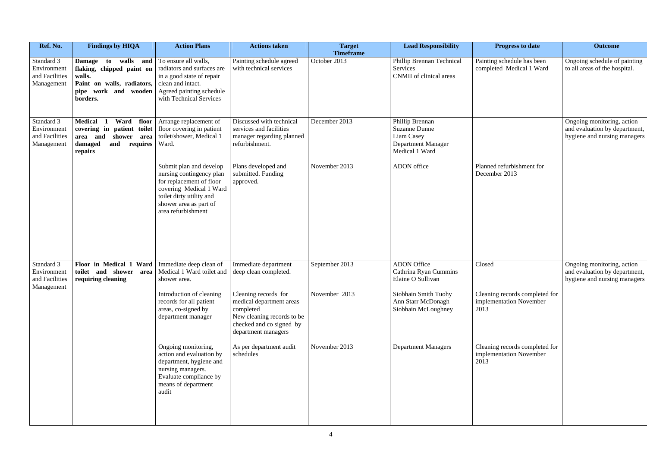| Ref. No.                                                  | <b>Findings by HIQA</b>                                                                                                                                  | <b>Action Plans</b>                                                                                                                                                                    | <b>Actions taken</b>                                                                                                                           | <b>Target</b><br><b>Timeframe</b> | <b>Lead Responsibility</b>                                                                           | <b>Progress to date</b>                                           | <b>Outcome</b>                                                                              |
|-----------------------------------------------------------|----------------------------------------------------------------------------------------------------------------------------------------------------------|----------------------------------------------------------------------------------------------------------------------------------------------------------------------------------------|------------------------------------------------------------------------------------------------------------------------------------------------|-----------------------------------|------------------------------------------------------------------------------------------------------|-------------------------------------------------------------------|---------------------------------------------------------------------------------------------|
| Standard 3<br>Environment<br>and Facilities<br>Management | <b>Damage</b> to walls and To ensure all walls,<br>flaking, chipped paint on<br>walls.<br>Paint on walls, radiators,<br>pipe work and wooden<br>borders. | radiators and surfaces are<br>in a good state of repair<br>clean and intact.<br>Agreed painting schedule<br>with Technical Services                                                    | Painting schedule agreed<br>with technical services                                                                                            | October 2013                      | Phillip Brennan Technical<br>Services<br><b>CNMII</b> of clinical areas                              | Painting schedule has been<br>completed Medical 1 Ward            | Ongoing schedule of painting<br>to all areas of the hospital.                               |
| Standard 3<br>Environment<br>and Facilities<br>Management | <b>Medical</b><br>Ward floor<br>-1<br>covering in patient toilet<br>shower area<br>and<br>area<br>requires<br>and<br>damaged<br>repairs                  | Arrange replacement of<br>floor covering in patient<br>toilet/shower, Medical 1<br>Ward.                                                                                               | Discussed with technical<br>services and facilities<br>manager regarding planned<br>refurbishment.                                             | December 2013                     | Phillip Brennan<br><b>Suzanne Dunne</b><br>Liam Casey<br><b>Department Manager</b><br>Medical 1 Ward |                                                                   | Ongoing monitoring, action<br>and evaluation by department,<br>hygiene and nursing managers |
|                                                           |                                                                                                                                                          | Submit plan and develop<br>nursing contingency plan<br>for replacement of floor<br>covering Medical 1 Ward<br>toilet dirty utility and<br>shower area as part of<br>area refurbishment | Plans developed and<br>submitted. Funding<br>approved.                                                                                         | November 2013                     | ADON office                                                                                          | Planned refurbishment for<br>December 2013                        |                                                                                             |
| Standard 3<br>Environment<br>and Facilities               | Floor in Medical 1 Ward   Immediate deep clean of<br>toilet and shower<br>area<br>requiring cleaning                                                     | Medical 1 Ward toilet and<br>shower area.                                                                                                                                              | Immediate department<br>deep clean completed.                                                                                                  | September 2013                    | <b>ADON</b> Office<br>Cathrina Ryan Cummins<br>Elaine O Sullivan                                     | Closed                                                            | Ongoing monitoring, action<br>and evaluation by department,<br>hygiene and nursing managers |
| Management                                                |                                                                                                                                                          | Introduction of cleaning<br>records for all patient<br>areas, co-signed by<br>department manager                                                                                       | Cleaning records for<br>medical department areas<br>completed<br>New cleaning records to be<br>checked and co signed by<br>department managers | November 2013                     | Siobhain Smith Tuohy<br>Ann Starr McDonagh<br>Siobhain McLoughney                                    | Cleaning records completed for<br>implementation November<br>2013 |                                                                                             |
|                                                           |                                                                                                                                                          | Ongoing monitoring,<br>action and evaluation by<br>department, hygiene and<br>nursing managers.<br>Evaluate compliance by<br>means of department<br>audit                              | As per department audit<br>schedules                                                                                                           | November 2013                     | <b>Department Managers</b>                                                                           | Cleaning records completed for<br>implementation November<br>2013 |                                                                                             |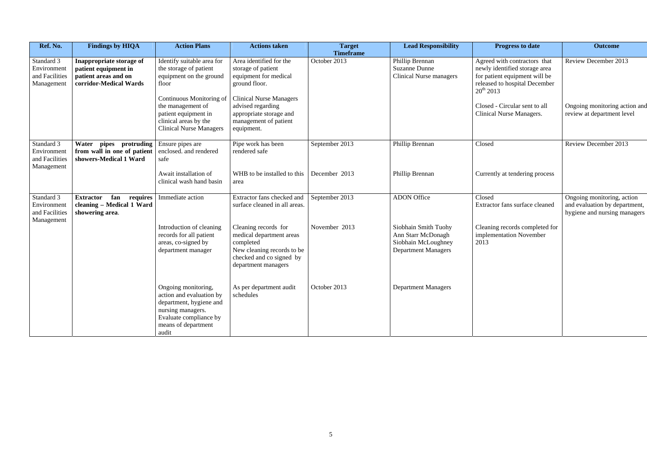| Ref. No.                                                  | <b>Findings by HIQA</b>                                                                            | <b>Action Plans</b>                                                                                                                                       | <b>Actions taken</b>                                                                                                                           | <b>Target</b><br><b>Timeframe</b> | <b>Lead Responsibility</b>                                                                      | <b>Progress to date</b>                                                                                                                           | <b>Outcome</b>                                                                              |
|-----------------------------------------------------------|----------------------------------------------------------------------------------------------------|-----------------------------------------------------------------------------------------------------------------------------------------------------------|------------------------------------------------------------------------------------------------------------------------------------------------|-----------------------------------|-------------------------------------------------------------------------------------------------|---------------------------------------------------------------------------------------------------------------------------------------------------|---------------------------------------------------------------------------------------------|
| Standard 3<br>Environment<br>and Facilities<br>Management | Inappropriate storage of<br>patient equipment in<br>patient areas and on<br>corridor-Medical Wards | Identify suitable area for<br>the storage of patient<br>equipment on the ground<br>floor                                                                  | Area identified for the<br>storage of patient<br>equipment for medical<br>ground floor.                                                        | October 2013                      | Phillip Brennan<br><b>Suzanne Dunne</b><br><b>Clinical Nurse managers</b>                       | Agreed with contractors that<br>newly identified storage area<br>for patient equipment will be<br>released to hospital December<br>$20^{th}$ 2013 | <b>Review December 2013</b>                                                                 |
|                                                           |                                                                                                    | Continuous Monitoring of<br>the management of<br>patient equipment in<br>clinical areas by the<br><b>Clinical Nurse Managers</b>                          | <b>Clinical Nurse Managers</b><br>advised regarding<br>appropriate storage and<br>management of patient<br>equipment.                          |                                   |                                                                                                 | Closed - Circular sent to all<br>Clinical Nurse Managers.                                                                                         | Ongoing monitoring action and<br>review at department level                                 |
| Standard 3<br>Environment<br>and Facilities<br>Management | pipes protruding<br>Water<br>from wall in one of patient<br>showers-Medical 1 Ward                 | Ensure pipes are<br>enclosed. and rendered<br>safe                                                                                                        | Pipe work has been<br>rendered safe                                                                                                            | September 2013                    | Phillip Brennan                                                                                 | Closed                                                                                                                                            | Review December 2013                                                                        |
|                                                           |                                                                                                    | Await installation of<br>clinical wash hand basin                                                                                                         | WHB to be installed to this<br>area                                                                                                            | December 2013                     | Phillip Brennan                                                                                 | Currently at tendering process                                                                                                                    |                                                                                             |
| Standard 3<br>Environment<br>and Facilities               | <b>Extractor</b><br>fan<br>requires<br>cleaning - Medical 1 Ward<br>showering area.                | Immediate action                                                                                                                                          | Extractor fans checked and<br>surface cleaned in all areas.                                                                                    | September 2013                    | <b>ADON</b> Office                                                                              | Closed<br>Extractor fans surface cleaned                                                                                                          | Ongoing monitoring, action<br>and evaluation by department,<br>hygiene and nursing managers |
| Management                                                |                                                                                                    | Introduction of cleaning<br>records for all patient<br>areas, co-signed by<br>department manager                                                          | Cleaning records for<br>medical department areas<br>completed<br>New cleaning records to be<br>checked and co signed by<br>department managers | November 2013                     | Siobhain Smith Tuohy<br>Ann Starr McDonagh<br>Siobhain McLoughney<br><b>Department Managers</b> | Cleaning records completed for<br>implementation November<br>2013                                                                                 |                                                                                             |
|                                                           |                                                                                                    | Ongoing monitoring,<br>action and evaluation by<br>department, hygiene and<br>nursing managers.<br>Evaluate compliance by<br>means of department<br>audit | As per department audit<br>schedules                                                                                                           | October 2013                      | <b>Department Managers</b>                                                                      |                                                                                                                                                   |                                                                                             |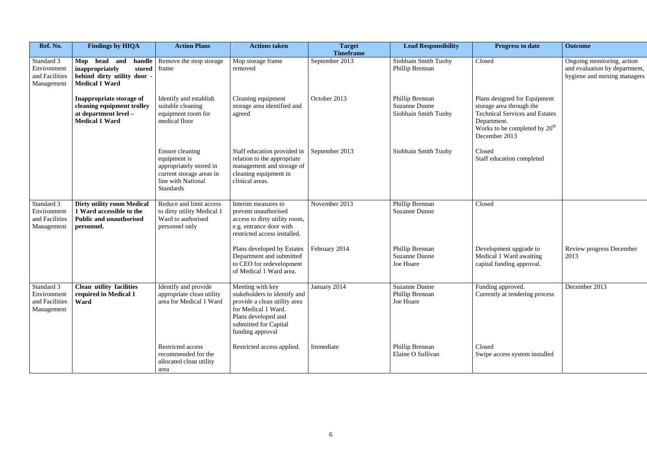| Ref. No.                                                  | <b>Findings by HIQA</b>                                                                                        | <b>Action Plans</b>                                                                                                              | <b>Actions taken</b>                                                                                                                                                        | <b>Target</b><br><b>Timeframe</b> | <b>Lead Responsibility</b>                                      |                                                                   |
|-----------------------------------------------------------|----------------------------------------------------------------------------------------------------------------|----------------------------------------------------------------------------------------------------------------------------------|-----------------------------------------------------------------------------------------------------------------------------------------------------------------------------|-----------------------------------|-----------------------------------------------------------------|-------------------------------------------------------------------|
| Standard 3<br>Environment<br>and Facilities<br>Management | Mop head<br>handle<br>and<br>inappropriately<br>stored<br>behind dirty utility door -<br><b>Medical 1 Ward</b> | Remove the mop storage<br>frame                                                                                                  | Mop storage frame<br>removed                                                                                                                                                | September 2013                    | Siobhain Smith Tuohy<br>Phillip Brennan                         | Closed                                                            |
|                                                           | Inappropriate storage of<br>cleaning equipment trolley<br>at department level -<br><b>Medical 1 Ward</b>       | Identify and establish<br>suitable cleaning<br>equipment room for<br>medical floor                                               | Cleaning equipment<br>storage area identified and<br>agreed                                                                                                                 | October 2013                      | Phillip Brennan<br><b>Suzanne Dunne</b><br>Siobhain Smith Tuohy | Plans d<br>storage<br>Technic<br>Depart<br><b>Works</b><br>Deceml |
|                                                           |                                                                                                                | Ensure cleaning<br>equipment is<br>appropriately stored in<br>current storage areas in<br>line with National<br><b>Standards</b> | Staff education provided in<br>relation to the appropriate<br>management and storage of<br>cleaning equipment in<br>clinical areas.                                         | September 2013                    | Siobhain Smith Tuohy                                            | Closed<br>Staff ed                                                |
| Standard 3<br>Environment<br>and Facilities<br>Management | <b>Dirty utility room Medical</b><br>1 Ward accessible to the<br><b>Public and unauthorised</b><br>personnel.  | Reduce and limit access<br>to dirty utility Medical 1<br>Ward to authorised<br>personnel only                                    | Interim measures to<br>prevent unauthorised<br>access to dirty utility room,<br>e.g. entrance door with<br>restricted access installed.                                     | November 2013                     | Phillip Brennan<br><b>Suzanne Dunne</b>                         | Closed                                                            |
|                                                           |                                                                                                                |                                                                                                                                  | Plans developed by Estates<br>Department and submitted<br>to CEO for redevelopment<br>of Medical 1 Ward area.                                                               | February 2014                     | Phillip Brennan<br><b>Suzanne Dunne</b><br>Joe Hoare            | Develo<br>Medica<br>capital i                                     |
| Standard 3<br>Environment<br>and Facilities<br>Management | <b>Clean utility facilities</b><br>required in Medical 1<br>Ward                                               | Identify and provide<br>appropriate clean utility<br>area for Medical 1 Ward                                                     | Meeting with key<br>stakeholders to identify and<br>provide a clean utility area<br>for Medical 1 Ward.<br>Plans developed and<br>submitted for Capital<br>funding approval | January 2014                      | <b>Suzanne Dunne</b><br>Phillip Brennan<br>Joe Hoare            | Funding<br>Current                                                |
|                                                           |                                                                                                                | Restricted access<br>recommended for the<br>allocated clean utility<br>area                                                      | Restricted access applied.                                                                                                                                                  | Immediate                         | Phillip Brennan<br>Elaine O Sullivan                            | Closed<br>Swipe a                                                 |

| <b>Lead Responsibility</b>                     | <b>Progress to date</b>                                                                                                                                              | <b>Outcome</b>                                                                              |
|------------------------------------------------|----------------------------------------------------------------------------------------------------------------------------------------------------------------------|---------------------------------------------------------------------------------------------|
| bhain Smith Tuohy<br>lip Brennan               | Closed                                                                                                                                                               | Ongoing monitoring, action<br>and evaluation by department,<br>hygiene and nursing managers |
| lip Brennan<br>anne Dunne<br>chain Smith Tuohy | Plans designed for Equipment<br>storage area through the<br><b>Technical Services and Estates</b><br>Department.<br>Works to be completed by $20th$<br>December 2013 |                                                                                             |
| hain Smith Tuohy                               | Closed<br>Staff education completed                                                                                                                                  |                                                                                             |
| lip Brennan<br>anne Dunne                      | Closed                                                                                                                                                               |                                                                                             |
| lip Brennan<br>anne Dunne<br>Hoare             | Development upgrade to<br>Medical 1 Ward awaiting<br>capital funding approval.                                                                                       | Review progress December<br>2013                                                            |
| anne Dunne<br>lip Brennan<br>Hoare             | Funding approved.<br>Currently at tendering process                                                                                                                  | December 2013                                                                               |
| lip Brennan<br>ne O Sullivan                   | Closed<br>Swipe access system installed                                                                                                                              |                                                                                             |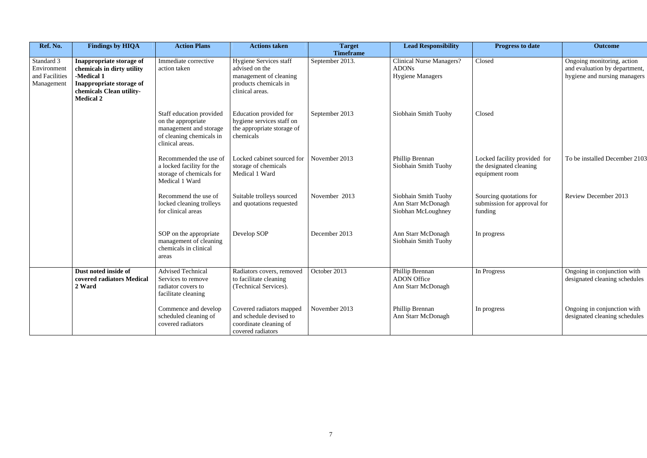| Ref. No.                                                  | <b>Findings by HIQA</b>                                                                                                                          | <b>Action Plans</b>                                                                                                     | <b>Actions taken</b>                                                                                                  | <b>Target</b><br><b>Timeframe</b> | <b>Lead Responsibility</b>                                                 |                                 |
|-----------------------------------------------------------|--------------------------------------------------------------------------------------------------------------------------------------------------|-------------------------------------------------------------------------------------------------------------------------|-----------------------------------------------------------------------------------------------------------------------|-----------------------------------|----------------------------------------------------------------------------|---------------------------------|
| Standard 3<br>Environment<br>and Facilities<br>Management | Inappropriate storage of<br>chemicals in dirty utility<br>-Medical 1<br>Inappropriate storage of<br>chemicals Clean utility-<br><b>Medical 2</b> | Immediate corrective<br>action taken                                                                                    | <b>Hygiene Services staff</b><br>advised on the<br>management of cleaning<br>products chemicals in<br>clinical areas. | September 2013.                   | <b>Clinical Nurse Managers?</b><br><b>ADONs</b><br><b>Hygiene Managers</b> | Closed                          |
|                                                           |                                                                                                                                                  | Staff education provided<br>on the appropriate<br>management and storage<br>of cleaning chemicals in<br>clinical areas. | Education provided for<br>hygiene services staff on<br>the appropriate storage of<br>chemicals                        | September 2013                    | Siobhain Smith Tuohy                                                       | Closed                          |
|                                                           |                                                                                                                                                  | Recommended the use of<br>a locked facility for the<br>storage of chemicals for<br>Medical 1 Ward                       | Locked cabinet sourced for<br>storage of chemicals<br>Medical 1 Ward                                                  | November 2013                     | Phillip Brennan<br>Siobhain Smith Tuohy                                    | Locked:<br>the desig<br>equipme |
|                                                           |                                                                                                                                                  | Recommend the use of<br>locked cleaning trolleys<br>for clinical areas                                                  | Suitable trolleys sourced<br>and quotations requested                                                                 | November 2013                     | Siobhain Smith Tuohy<br>Ann Starr McDonagh<br>Siobhan McLoughney           | Sourcing<br>submissi<br>funding |
|                                                           |                                                                                                                                                  | SOP on the appropriate<br>management of cleaning<br>chemicals in clinical<br>areas                                      | Develop SOP                                                                                                           | December 2013                     | Ann Starr McDonagh<br>Siobhain Smith Tuohy                                 | In progress                     |
|                                                           | Dust noted inside of<br>covered radiators Medical<br>2 Ward                                                                                      | <b>Advised Technical</b><br>Services to remove<br>radiator covers to<br>facilitate cleaning                             | Radiators covers, removed<br>to facilitate cleaning<br>(Technical Services).                                          | October 2013                      | Phillip Brennan<br><b>ADON</b> Office<br>Ann Starr McDonagh                | In Progr                        |
|                                                           |                                                                                                                                                  | Commence and develop<br>scheduled cleaning of<br>covered radiators                                                      | Covered radiators mapped<br>and schedule devised to<br>coordinate cleaning of<br>covered radiators                    | November 2013                     | Phillip Brennan<br>Ann Starr McDonagh                                      | In progress                     |

| <b>Lead Responsibility</b>                                  | <b>Progress to date</b>                                                   | <b>Outcome</b>                                                                              |
|-------------------------------------------------------------|---------------------------------------------------------------------------|---------------------------------------------------------------------------------------------|
| ical Nurse Managers?<br>ONs<br>iene Managers                | Closed                                                                    | Ongoing monitoring, action<br>and evaluation by department,<br>hygiene and nursing managers |
| <b>hain Smith Tuohy</b>                                     | Closed                                                                    |                                                                                             |
| lip Brennan<br>hain Smith Tuohy                             | Locked facility provided for<br>the designated cleaning<br>equipment room | To be installed December 2103                                                               |
| hain Smith Tuohy<br><b>Starr McDonagh</b><br>han McLoughney | Sourcing quotations for<br>submission for approval for<br>funding         | <b>Review December 2013</b>                                                                 |
| <b>Starr McDonagh</b><br>hain Smith Tuohy                   | In progress                                                               |                                                                                             |
| lip Brennan<br><b>ON Office</b><br><b>Starr McDonagh</b>    | In Progress                                                               | Ongoing in conjunction with<br>designated cleaning schedules                                |
| lip Brennan<br><b>Starr McDonagh</b>                        | In progress                                                               | Ongoing in conjunction with<br>designated cleaning schedules                                |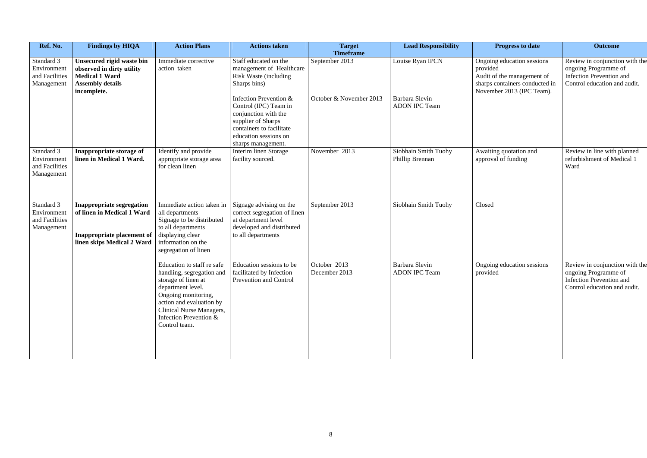| Ref. No.                                                  | <b>Findings by HIQA</b>                                                                                                    | <b>Action Plans</b>                                                                                                                                                                                                           | <b>Actions taken</b>                                                                                                                                                     | <b>Target</b><br><b>Timeframe</b> | <b>Lead Responsibility</b>              | <b>Progress to date</b>                                                                                                             | <b>Outcome</b>                                                                                                            |
|-----------------------------------------------------------|----------------------------------------------------------------------------------------------------------------------------|-------------------------------------------------------------------------------------------------------------------------------------------------------------------------------------------------------------------------------|--------------------------------------------------------------------------------------------------------------------------------------------------------------------------|-----------------------------------|-----------------------------------------|-------------------------------------------------------------------------------------------------------------------------------------|---------------------------------------------------------------------------------------------------------------------------|
| Standard 3<br>Environment<br>and Facilities<br>Management | Unsecured rigid waste bin<br>observed in dirty utility<br><b>Medical 1 Ward</b><br><b>Assembly details</b><br>incomplete.  | Immediate corrective<br>action taken                                                                                                                                                                                          | Staff educated on the<br>management of Healthcare<br>Risk Waste (including<br>Sharps bins)                                                                               | September 2013                    | Louise Ryan IPCN                        | Ongoing education sessions<br>provided<br>Audit of the management of<br>sharps containers conducted in<br>November 2013 (IPC Team). | Review in conjunction with the<br>ongoing Programme of<br><b>Infection Prevention and</b><br>Control education and audit. |
|                                                           |                                                                                                                            |                                                                                                                                                                                                                               | Infection Prevention &<br>Control (IPC) Team in<br>conjunction with the<br>supplier of Sharps<br>containers to facilitate<br>education sessions on<br>sharps management. | October & November 2013           | Barbara Slevin<br><b>ADON IPC Team</b>  |                                                                                                                                     |                                                                                                                           |
| Standard 3<br>Environment<br>and Facilities<br>Management | Inappropriate storage of<br>linen in Medical 1 Ward.                                                                       | Identify and provide<br>appropriate storage area<br>for clean linen                                                                                                                                                           | Interim linen Storage<br>facility sourced.                                                                                                                               | November 2013                     | Siobhain Smith Tuohy<br>Phillip Brennan | Awaiting quotation and<br>approval of funding                                                                                       | Review in line with planned<br>refurbishment of Medical 1<br>Ward                                                         |
| Standard 3<br>Environment<br>and Facilities<br>Management | Inappropriate segregation<br>of linen in Medical 1 Ward<br><b>Inappropriate placement of</b><br>linen skips Medical 2 Ward | Immediate action taken in<br>all departments<br>Signage to be distributed<br>to all departments<br>displaying clear<br>information on the<br>segregation of linen                                                             | Signage advising on the<br>correct segregation of linen<br>at department level<br>developed and distributed<br>to all departments                                        | September 2013                    | Siobhain Smith Tuohy                    | Closed                                                                                                                              |                                                                                                                           |
|                                                           |                                                                                                                            | Education to staff re safe<br>handling, segregation and<br>storage of linen at<br>department level.<br>Ongoing monitoring,<br>action and evaluation by<br>Clinical Nurse Managers,<br>Infection Prevention &<br>Control team. | Education sessions to be<br>facilitated by Infection<br>Prevention and Control                                                                                           | October 2013<br>December 2013     | Barbara Slevin<br><b>ADON IPC Team</b>  | Ongoing education sessions<br>provided                                                                                              | Review in conjunction with the<br>ongoing Programme of<br><b>Infection Prevention and</b><br>Control education and audit. |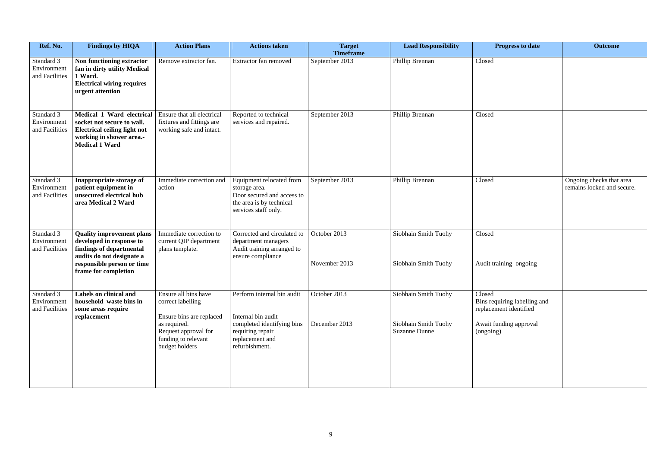| Ref. No.                                    | <b>Findings by HIQA</b>                                                                                                                             | <b>Action Plans</b>                                                                 | <b>Actions taken</b>                                                                                                        | <b>Target</b><br><b>Timeframe</b> | <b>Lead Responsibility</b>                   | <b>Progress to date</b>                                          | <b>Outcome</b>                                         |
|---------------------------------------------|-----------------------------------------------------------------------------------------------------------------------------------------------------|-------------------------------------------------------------------------------------|-----------------------------------------------------------------------------------------------------------------------------|-----------------------------------|----------------------------------------------|------------------------------------------------------------------|--------------------------------------------------------|
| Standard 3<br>Environment<br>and Facilities | Non functioning extractor<br>fan in dirty utility Medical<br>1 Ward.<br><b>Electrical wiring requires</b><br>urgent attention                       | Remove extractor fan.                                                               | Extractor fan removed                                                                                                       | September 2013                    | Phillip Brennan                              | Closed                                                           |                                                        |
| Standard 3<br>Environment<br>and Facilities | Medical 1 Ward electrical<br>socket not secure to wall.<br><b>Electrical ceiling light not</b><br>working in shower area.-<br><b>Medical 1 Ward</b> | Ensure that all electrical<br>fixtures and fittings are<br>working safe and intact. | Reported to technical<br>services and repaired.                                                                             | September 2013                    | Phillip Brennan                              | Closed                                                           |                                                        |
| Standard 3<br>Environment<br>and Facilities | Inappropriate storage of<br>patient equipment in<br>unsecured electrical hub<br>area Medical 2 Ward                                                 | Immediate correction and<br>action                                                  | Equipment relocated from<br>storage area.<br>Door secured and access to<br>the area is by technical<br>services staff only. | September 2013                    | Phillip Brennan                              | Closed                                                           | Ongoing checks that area<br>remains locked and secure. |
| Standard 3<br>Environment<br>and Facilities | <b>Quality improvement plans</b><br>developed in response to<br>findings of departmental<br>audits do not designate a                               | Immediate correction to<br>current QIP department<br>plans template.                | Corrected and circulated to<br>department managers<br>Audit training arranged to<br>ensure compliance                       | October 2013                      | Siobhain Smith Tuohy                         | Closed                                                           |                                                        |
|                                             | responsible person or time<br>frame for completion                                                                                                  |                                                                                     |                                                                                                                             | November 2013                     | Siobhain Smith Tuohy                         | Audit training ongoing                                           |                                                        |
| Standard 3<br>Environment<br>and Facilities | Labels on clinical and<br>household waste bins in<br>some areas require<br>replacement                                                              | Ensure all bins have<br>correct labelling<br>Ensure bins are replaced               | Perform internal bin audit<br>Internal bin audit                                                                            | October 2013                      | Siobhain Smith Tuohy                         | Closed<br>Bins requiring labelling and<br>replacement identified |                                                        |
|                                             |                                                                                                                                                     | as required.<br>Request approval for<br>funding to relevant<br>budget holders       | completed identifying bins<br>requiring repair<br>replacement and<br>refurbishment.                                         | December 2013                     | Siobhain Smith Tuohy<br><b>Suzanne Dunne</b> | Await funding approval<br>(ongoing)                              |                                                        |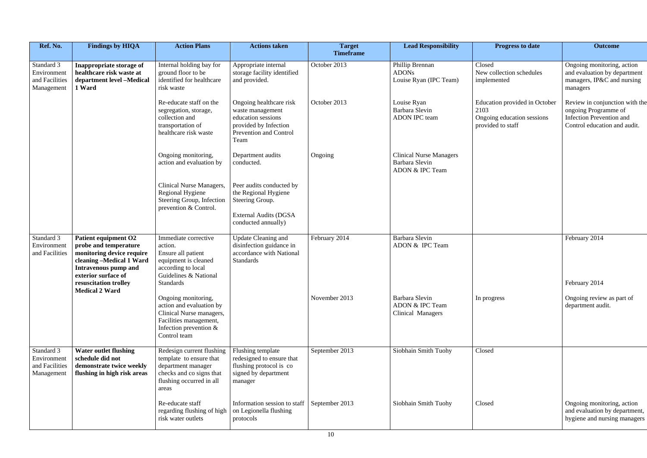| Ref. No.                                                  | <b>Findings by HIQA</b>                                                                                                                                                               | <b>Action Plans</b>                                                                                                                               | <b>Actions taken</b>                                                                                                         | <b>Target</b><br><b>Timeframe</b> | <b>Lead Responsibility</b>                                          | <b>Progress to date</b>                                                                  | <b>Outcome</b>                                                                                                            |
|-----------------------------------------------------------|---------------------------------------------------------------------------------------------------------------------------------------------------------------------------------------|---------------------------------------------------------------------------------------------------------------------------------------------------|------------------------------------------------------------------------------------------------------------------------------|-----------------------------------|---------------------------------------------------------------------|------------------------------------------------------------------------------------------|---------------------------------------------------------------------------------------------------------------------------|
| Standard 3<br>Environment<br>and Facilities<br>Management | Inappropriate storage of<br>healthcare risk waste at<br>department level -Medical<br>1 Ward                                                                                           | Internal holding bay for<br>ground floor to be<br>identified for healthcare<br>risk waste                                                         | Appropriate internal<br>storage facility identified<br>and provided.                                                         | October 2013                      | Phillip Brennan<br><b>ADONs</b><br>Louise Ryan (IPC Team)           | Closed<br>New collection schedules<br>implemented                                        | Ongoing monitoring, action<br>and evaluation by department<br>managers, IP&C and nursing<br>managers                      |
|                                                           |                                                                                                                                                                                       | Re-educate staff on the<br>segregation, storage,<br>collection and<br>transportation of<br>healthcare risk waste                                  | Ongoing healthcare risk<br>waste management<br>education sessions<br>provided by Infection<br>Prevention and Control<br>Team | October 2013                      | Louise Ryan<br>Barbara Slevin<br><b>ADON IPC team</b>               | Education provided in October<br>2103<br>Ongoing education sessions<br>provided to staff | Review in conjunction with the<br>ongoing Programme of<br><b>Infection Prevention and</b><br>Control education and audit. |
|                                                           |                                                                                                                                                                                       | Ongoing monitoring,<br>action and evaluation by                                                                                                   | Department audits<br>conducted.                                                                                              | Ongoing                           | <b>Clinical Nurse Managers</b><br>Barbara Slevin<br>ADON & IPC Team |                                                                                          |                                                                                                                           |
|                                                           |                                                                                                                                                                                       | Clinical Nurse Managers,<br>Regional Hygiene<br>Steering Group, Infection<br>prevention & Control.                                                | Peer audits conducted by<br>the Regional Hygiene<br>Steering Group.<br><b>External Audits (DGSA)</b><br>conducted annually)  |                                   |                                                                     |                                                                                          |                                                                                                                           |
| Standard 3<br>Environment<br>and Facilities               | Patient equipment O2<br>probe and temperature<br>monitoring device require<br>cleaning -Medical 1 Ward<br><b>Intravenous pump and</b><br>exterior surface of<br>resuscitation trolley | Immediate corrective<br>action.<br>Ensure all patient<br>equipment is cleaned<br>according to local<br>Guidelines & National<br>Standards         | Update Cleaning and<br>disinfection guidance in<br>accordance with National<br><b>Standards</b>                              | February 2014                     | Barbara Slevin<br>ADON & IPC Team                                   |                                                                                          | February 2014<br>February 2014                                                                                            |
|                                                           | <b>Medical 2 Ward</b>                                                                                                                                                                 | Ongoing monitoring,<br>action and evaluation by<br>Clinical Nurse managers,<br>Facilities management,<br>Infection prevention $&$<br>Control team |                                                                                                                              | November 2013                     | Barbara Slevin<br>ADON & IPC Team<br>Clinical Managers              | In progress                                                                              | Ongoing review as part of<br>department audit.                                                                            |
| Standard 3<br>Environment<br>and Facilities<br>Management | <b>Water outlet flushing</b><br>schedule did not<br>demonstrate twice weekly<br>flushing in high risk areas                                                                           | Redesign current flushing<br>template to ensure that<br>department manager<br>checks and co signs that<br>flushing occurred in all<br>areas       | Flushing template<br>redesigned to ensure that<br>flushing protocol is co<br>signed by department<br>manager                 | September 2013                    | Siobhain Smith Tuohy                                                | Closed                                                                                   |                                                                                                                           |
|                                                           |                                                                                                                                                                                       | Re-educate staff<br>regarding flushing of high<br>risk water outlets                                                                              | Information session to staff<br>on Legionella flushing<br>protocols                                                          | September 2013                    | Siobhain Smith Tuohy                                                | Closed                                                                                   | Ongoing monitoring, action<br>and evaluation by department,<br>hygiene and nursing managers                               |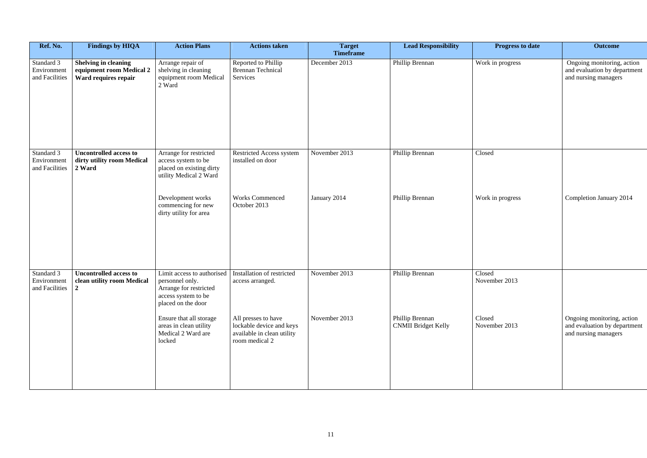| Ref. No.                                    | <b>Findings by HIQA</b>                                                         | <b>Action Plans</b>                                                                                                  | <b>Actions taken</b>                                                                            | <b>Target</b><br><b>Timeframe</b> | <b>Lead Responsibility</b>                    | <b>Progress to date</b> | <b>Outcome</b>                                                                     |
|---------------------------------------------|---------------------------------------------------------------------------------|----------------------------------------------------------------------------------------------------------------------|-------------------------------------------------------------------------------------------------|-----------------------------------|-----------------------------------------------|-------------------------|------------------------------------------------------------------------------------|
| Standard 3<br>Environment<br>and Facilities | <b>Shelving in cleaning</b><br>equipment room Medical 2<br>Ward requires repair | Arrange repair of<br>shelving in cleaning<br>equipment room Medical<br>2 Ward                                        | Reported to Phillip<br><b>Brennan Technical</b><br>Services                                     | December 2013                     | Phillip Brennan                               | Work in progress        | Ongoing monitoring, action<br>and evaluation by department<br>and nursing managers |
| Standard 3<br>Environment<br>and Facilities | <b>Uncontrolled access to</b><br>dirty utility room Medical<br>2 Ward           | Arrange for restricted<br>access system to be<br>placed on existing dirty<br>utility Medical 2 Ward                  | Restricted Access system<br>installed on door                                                   | November 2013                     | Phillip Brennan                               | Closed                  |                                                                                    |
|                                             |                                                                                 | Development works<br>commencing for new<br>dirty utility for area                                                    | <b>Works Commenced</b><br>October 2013                                                          | January 2014                      | Phillip Brennan                               | Work in progress        | Completion January 2014                                                            |
| Standard 3<br>Environment<br>and Facilities | <b>Uncontrolled access to</b><br>clean utility room Medical<br>$\vert 2 \vert$  | Limit access to authorised<br>personnel only.<br>Arrange for restricted<br>access system to be<br>placed on the door | Installation of restricted<br>access arranged.                                                  | November 2013                     | Phillip Brennan                               | Closed<br>November 2013 |                                                                                    |
|                                             |                                                                                 | Ensure that all storage<br>areas in clean utility<br>Medical 2 Ward are<br>locked                                    | All presses to have<br>lockable device and keys<br>available in clean utility<br>room medical 2 | November 2013                     | Phillip Brennan<br><b>CNMII Bridget Kelly</b> | Closed<br>November 2013 | Ongoing monitoring, action<br>and evaluation by department<br>and nursing managers |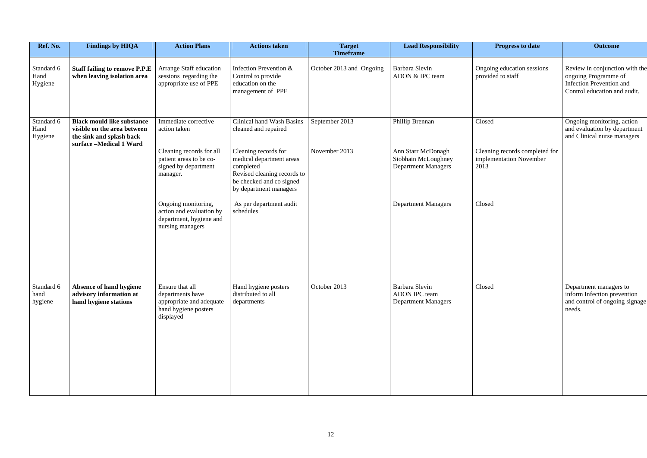| Ref. No.                      | <b>Findings by HIQA</b>                                                                                                 | <b>Action Plans</b>                                                                            | <b>Actions taken</b>                                                                                                                               | <b>Target</b><br><b>Timeframe</b> | <b>Lead Responsibility</b>                                              | <b>Progress to date</b>                                           | <b>Outcome</b>                                                                                                            |
|-------------------------------|-------------------------------------------------------------------------------------------------------------------------|------------------------------------------------------------------------------------------------|----------------------------------------------------------------------------------------------------------------------------------------------------|-----------------------------------|-------------------------------------------------------------------------|-------------------------------------------------------------------|---------------------------------------------------------------------------------------------------------------------------|
| Standard 6<br>Hand<br>Hygiene | <b>Staff failing to remove P.P.E</b><br>when leaving isolation area                                                     | Arrange Staff education<br>sessions regarding the<br>appropriate use of PPE                    | Infection Prevention &<br>Control to provide<br>education on the<br>management of PPE                                                              | October 2013 and Ongoing          | Barbara Slevin<br>ADON & IPC team                                       | Ongoing education sessions<br>provided to staff                   | Review in conjunction with the<br>ongoing Programme of<br><b>Infection Prevention and</b><br>Control education and audit. |
| Standard 6<br>Hand<br>Hygiene | <b>Black mould like substance</b><br>visible on the area between<br>the sink and splash back<br>surface -Medical 1 Ward | Immediate corrective<br>action taken                                                           | Clinical hand Wash Basins<br>cleaned and repaired                                                                                                  | September 2013                    | Phillip Brennan                                                         | Closed                                                            | Ongoing monitoring, action<br>and evaluation by department<br>and Clinical nurse managers                                 |
|                               |                                                                                                                         | Cleaning records for all<br>patient areas to be co-<br>signed by department<br>manager.        | Cleaning records for<br>medical department areas<br>completed<br>Revised cleaning records to<br>be checked and co signed<br>by department managers | November 2013                     | Ann Starr McDonagh<br>Siobhain McLoughney<br><b>Department Managers</b> | Cleaning records completed for<br>implementation November<br>2013 |                                                                                                                           |
|                               |                                                                                                                         | Ongoing monitoring,<br>action and evaluation by<br>department, hygiene and<br>nursing managers | As per department audit<br>schedules                                                                                                               |                                   | <b>Department Managers</b>                                              | Closed                                                            |                                                                                                                           |
| Standard 6<br>hand<br>hygiene | <b>Absence of hand hygiene</b><br>advisory information at<br>hand hygiene stations                                      | Ensure that all<br>departments have<br>appropriate and adequate                                | Hand hygiene posters<br>distributed to all<br>departments                                                                                          | October 2013                      | Barbara Slevin<br>ADON IPC team<br><b>Department Managers</b>           | Closed                                                            | Department managers to<br>inform Infection prevention<br>and control of ongoing signage                                   |
|                               |                                                                                                                         | hand hygiene posters<br>displayed                                                              |                                                                                                                                                    |                                   |                                                                         |                                                                   | needs.                                                                                                                    |